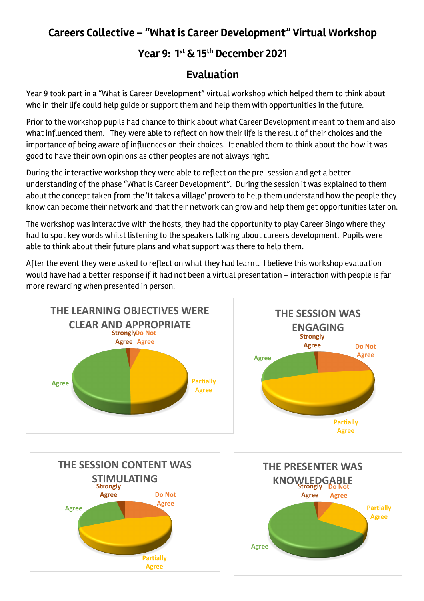## **Careers Collective – "What is Career Development" Virtual Workshop**

## **Year 9: 1st & 15th December 2021**

## **Evaluation**

Year 9 took part in a "What is Career Development" virtual workshop which helped them to think about who in their life could help guide or support them and help them with opportunities in the future.

Prior to the workshop pupils had chance to think about what Career Development meant to them and also what influenced them. They were able to reflect on how their life is the result of their choices and the importance of being aware of influences on their choices. It enabled them to think about the how it was good to have their own opinions as other peoples are not always right.

During the interactive workshop they were able to reflect on the pre-session and get a better understanding of the phase "What is Career Development". During the session it was explained to them about the concept taken from the 'It takes a village' proverb to help them understand how the people they know can become their network and that their network can grow and help them get opportunities later on.

The workshop was interactive with the hosts, they had the opportunity to play Career Bingo where they had to spot key words whilst listening to the speakers talking about careers development. Pupils were able to think about their future plans and what support was there to help them.

After the event they were asked to reflect on what they had learnt. I believe this workshop evaluation would have had a better response if it had not been a virtual presentation – interaction with people is far more rewarding when presented in person.